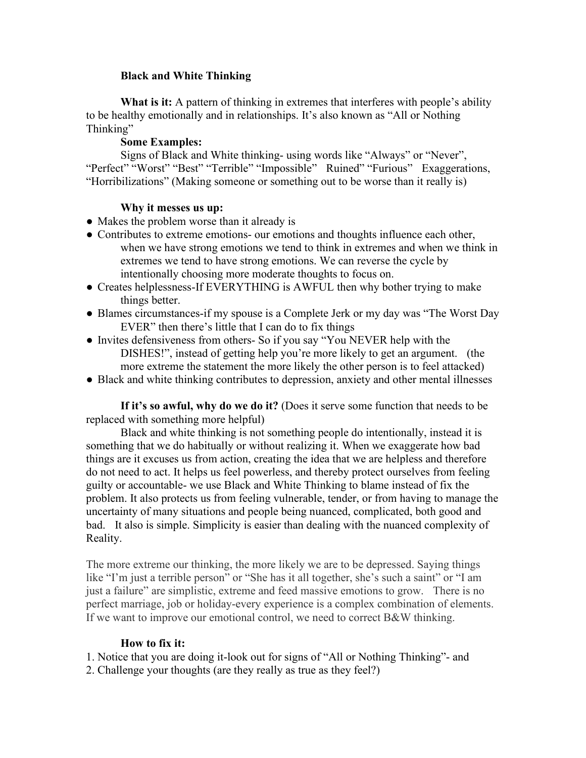### **Black and White Thinking**

**What is it:** A pattern of thinking in extremes that interferes with people's ability to be healthy emotionally and in relationships. It's also known as "All or Nothing Thinking"

## **Some Examples:**

Signs of Black and White thinking- using words like "Always" or "Never", "Perfect" "Worst" "Best" "Terrible" "Impossible" Ruined" "Furious" Exaggerations, "Horribilizations" (Making someone or something out to be worse than it really is)

### **Why it messes us up:**

- Makes the problem worse than it already is
- Contributes to extreme emotions- our emotions and thoughts influence each other, when we have strong emotions we tend to think in extremes and when we think in extremes we tend to have strong emotions. We can reverse the cycle by intentionally choosing more moderate thoughts to focus on.
- Creates helplessness-If EVERYTHING is AWFUL then why bother trying to make things better.
- Blames circumstances-if my spouse is a Complete Jerk or my day was "The Worst Day EVER" then there's little that I can do to fix things
- Invites defensiveness from others- So if you say "You NEVER help with the DISHES!", instead of getting help you're more likely to get an argument. (the more extreme the statement the more likely the other person is to feel attacked)
- Black and white thinking contributes to depression, anxiety and other mental illnesses

**If it's so awful, why do we do it?** (Does it serve some function that needs to be replaced with something more helpful)

Black and white thinking is not something people do intentionally, instead it is something that we do habitually or without realizing it. When we exaggerate how bad things are it excuses us from action, creating the idea that we are helpless and therefore do not need to act. It helps us feel powerless, and thereby protect ourselves from feeling guilty or accountable- we use Black and White Thinking to blame instead of fix the problem. It also protects us from feeling vulnerable, tender, or from having to manage the uncertainty of many situations and people being nuanced, complicated, both good and bad. It also is simple. Simplicity is easier than dealing with the nuanced complexity of Reality.

The more extreme our thinking, the more likely we are to be depressed. Saying things like "I'm just a terrible person" or "She has it all together, she's such a saint" or "I am just a failure" are simplistic, extreme and feed massive emotions to grow. There is no perfect marriage, job or holiday-every experience is a complex combination of elements. If we want to improve our emotional control, we need to correct B&W thinking.

# **How to fix it:**

1. Notice that you are doing it-look out for signs of "All or Nothing Thinking"- and 2. Challenge your thoughts (are they really as true as they feel?)